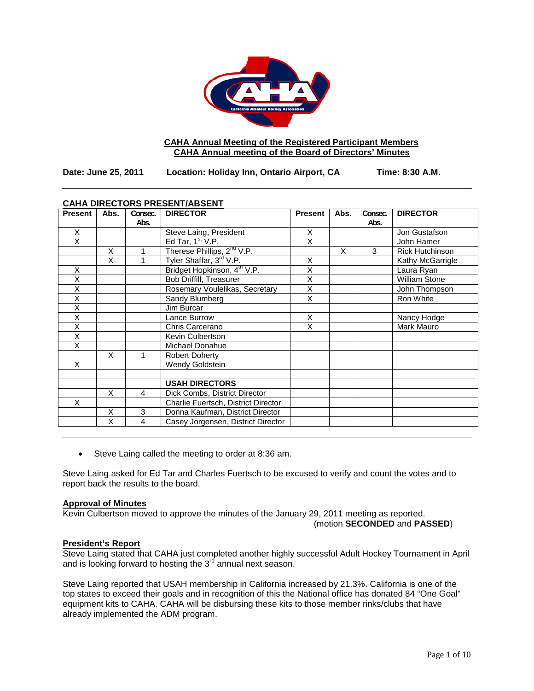

# **CAHA Annual Meeting of the Registered Participant Members CAHA Annual meeting of the Board of Directors' Minutes**

**Date: June 25, 2011 Location: Holiday Inn, Ontario Airport, CA Time: 8:30 A.M.**

| <b>CAHA DIRECTORS PRESENT/ABSENT</b> |      |         |                                         |                |      |         |                        |
|--------------------------------------|------|---------|-----------------------------------------|----------------|------|---------|------------------------|
| <b>Present</b>                       | Abs. | Consec. | <b>DIRECTOR</b>                         | <b>Present</b> | Abs. | Consec. | <b>DIRECTOR</b>        |
|                                      |      | Abs.    |                                         |                |      | Abs.    |                        |
| X                                    |      |         | Steve Laing, President                  | X              |      |         | Jon Gustafson          |
| X                                    |      |         | Ed Tar, $1st V.P.$                      | X              |      |         | John Hamer             |
|                                      | X    |         | Therese Phillips, 2 <sup>nd</sup> V.P.  |                | X    | 3       | <b>Rick Hutchinson</b> |
|                                      | X    |         | Tyler Shaffar, 3 <sup>rd</sup> V.P.     | X              |      |         | Kathy McGarrigle       |
| X                                    |      |         | Bridget Hopkinson, 4 <sup>th</sup> V.P. | X              |      |         | Laura Ryan             |
| X                                    |      |         | Bob Driffill, Treasurer                 | X              |      |         | <b>William Stone</b>   |
| X                                    |      |         | Rosemary Voulelikas, Secretary          | X              |      |         | John Thompson          |
| $\overline{\mathsf{x}}$              |      |         | Sandy Blumberg                          | X              |      |         | Ron White              |
| X                                    |      |         | Jim Burcar                              |                |      |         |                        |
| X                                    |      |         | Lance Burrow                            | X              |      |         | Nancy Hodge            |
| X                                    |      |         | Chris Carcerano                         | X              |      |         | Mark Mauro             |
| X                                    |      |         | Kevin Culbertson                        |                |      |         |                        |
| X                                    |      |         | Michael Donahue                         |                |      |         |                        |
|                                      | X    |         | <b>Robert Doherty</b>                   |                |      |         |                        |
| X                                    |      |         | <b>Wendy Goldstein</b>                  |                |      |         |                        |
|                                      |      |         |                                         |                |      |         |                        |
|                                      |      |         | <b>USAH DIRECTORS</b>                   |                |      |         |                        |
|                                      | X    | 4       | Dick Combs, District Director           |                |      |         |                        |
| X                                    |      |         | Charlie Fuertsch, District Director     |                |      |         |                        |
|                                      | X    | 3       | Donna Kaufman, District Director        |                |      |         |                        |
|                                      | X    | 4       | Casey Jorgensen, District Director      |                |      |         |                        |

# **CAHA DIRECTORS PRESENT/ABSENT**

• Steve Laing called the meeting to order at 8:36 am.

Steve Laing asked for Ed Tar and Charles Fuertsch to be excused to verify and count the votes and to report back the results to the board.

# **Approval of Minutes**

Kevin Culbertson moved to approve the minutes of the January 29, 2011 meeting as reported.

(motion **SECONDED** and **PASSED**)

# **President's Report**

Steve Laing stated that CAHA just completed another highly successful Adult Hockey Tournament in April and is looking forward to hosting the  $3<sup>rd</sup>$  annual next season.

Steve Laing reported that USAH membership in California increased by 21.3%. California is one of the top states to exceed their goals and in recognition of this the National office has donated 84 "One Goal" equipment kits to CAHA. CAHA will be disbursing these kits to those member rinks/clubs that have already implemented the ADM program.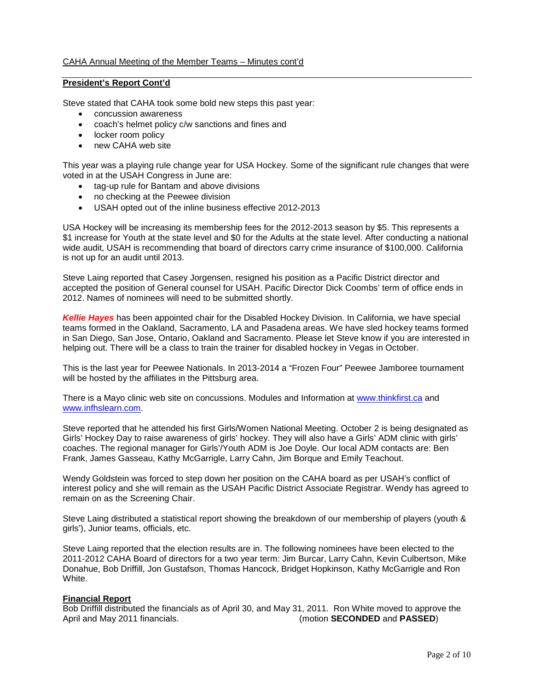# **President's Report Cont'd**

Steve stated that CAHA took some bold new steps this past year:

- concussion awareness
- coach's helmet policy c/w sanctions and fines and
- locker room policy
- new CAHA web site

This year was a playing rule change year for USA Hockey. Some of the significant rule changes that were voted in at the USAH Congress in June are:

- tag-up rule for Bantam and above divisions
- no checking at the Peewee division
- USAH opted out of the inline business effective 2012-2013

USA Hockey will be increasing its membership fees for the 2012-2013 season by \$5. This represents a \$1 increase for Youth at the state level and \$0 for the Adults at the state level. After conducting a national wide audit, USAH is recommending that board of directors carry crime insurance of \$100,000. California is not up for an audit until 2013.

Steve Laing reported that Casey Jorgensen, resigned his position as a Pacific District director and accepted the position of General counsel for USAH. Pacific Director Dick Coombs' term of office ends in 2012. Names of nominees will need to be submitted shortly.

*Kellie Hayes* has been appointed chair for the Disabled Hockey Division. In California, we have special teams formed in the Oakland, Sacramento, LA and Pasadena areas. We have sled hockey teams formed in San Diego, San Jose, Ontario, Oakland and Sacramento. Please let Steve know if you are interested in helping out. There will be a class to train the trainer for disabled hockey in Vegas in October.

This is the last year for Peewee Nationals. In 2013-2014 a "Frozen Four" Peewee Jamboree tournament will be hosted by the affiliates in the Pittsburg area.

There is a Mayo clinic web site on concussions. Modules and Information at [www.thinkfirst.ca](http://www.thinkfirst.ca/) and [www.infhslearn.com.](http://www.infhslearn.com/)

Steve reported that he attended his first Girls/Women National Meeting. October 2 is being designated as Girls' Hockey Day to raise awareness of girls' hockey. They will also have a Girls' ADM clinic with girls' coaches. The regional manager for Girls'/Youth ADM is Joe Doyle. Our local ADM contacts are: Ben Frank, James Gasseau, Kathy McGarrigle, Larry Cahn, Jim Borque and Emily Teachout.

Wendy Goldstein was forced to step down her position on the CAHA board as per USAH's conflict of interest policy and she will remain as the USAH Pacific District Associate Registrar. Wendy has agreed to remain on as the Screening Chair.

Steve Laing distributed a statistical report showing the breakdown of our membership of players (youth & girls'), Junior teams, officials, etc.

Steve Laing reported that the election results are in. The following nominees have been elected to the 2011-2012 CAHA Board of directors for a two year term: Jim Burcar, Larry Cahn, Kevin Culbertson, Mike Donahue, Bob Driffill, Jon Gustafson, Thomas Hancock, Bridget Hopkinson, Kathy McGarrigle and Ron White.

# **Financial Report**

Bob Driffill distributed the financials as of April 30, and May 31, 2011. Ron White moved to approve the April and May 2011 financials. (motion **SECONDED** and PASSED)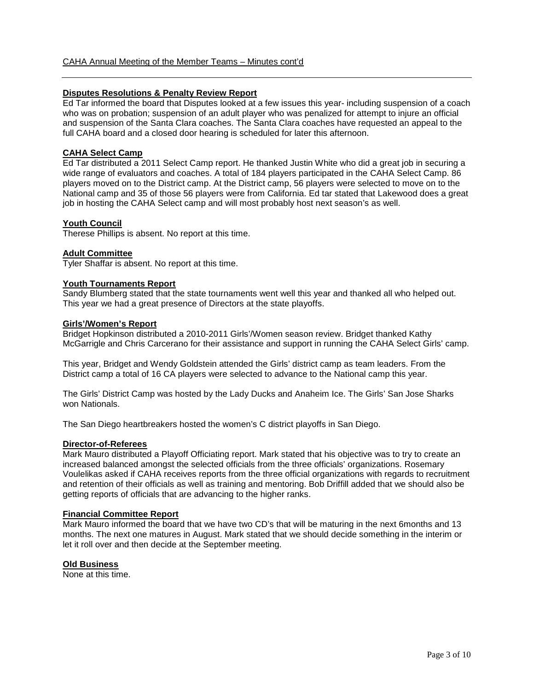# **Disputes Resolutions & Penalty Review Report**

Ed Tar informed the board that Disputes looked at a few issues this year- including suspension of a coach who was on probation; suspension of an adult player who was penalized for attempt to injure an official and suspension of the Santa Clara coaches. The Santa Clara coaches have requested an appeal to the full CAHA board and a closed door hearing is scheduled for later this afternoon.

### **CAHA Select Camp**

Ed Tar distributed a 2011 Select Camp report. He thanked Justin White who did a great job in securing a wide range of evaluators and coaches. A total of 184 players participated in the CAHA Select Camp. 86 players moved on to the District camp. At the District camp, 56 players were selected to move on to the National camp and 35 of those 56 players were from California. Ed tar stated that Lakewood does a great job in hosting the CAHA Select camp and will most probably host next season's as well.

### **Youth Council**

Therese Phillips is absent. No report at this time.

### **Adult Committee**

Tyler Shaffar is absent. No report at this time.

### **Youth Tournaments Report**

Sandy Blumberg stated that the state tournaments went well this year and thanked all who helped out. This year we had a great presence of Directors at the state playoffs.

### **Girls'/Women's Report**

Bridget Hopkinson distributed a 2010-2011 Girls'/Women season review. Bridget thanked Kathy McGarrigle and Chris Carcerano for their assistance and support in running the CAHA Select Girls' camp.

This year, Bridget and Wendy Goldstein attended the Girls' district camp as team leaders. From the District camp a total of 16 CA players were selected to advance to the National camp this year.

The Girls' District Camp was hosted by the Lady Ducks and Anaheim Ice. The Girls' San Jose Sharks won Nationals.

The San Diego heartbreakers hosted the women's C district playoffs in San Diego.

### **Director-of-Referees**

Mark Mauro distributed a Playoff Officiating report. Mark stated that his objective was to try to create an increased balanced amongst the selected officials from the three officials' organizations. Rosemary Voulelikas asked if CAHA receives reports from the three official organizations with regards to recruitment and retention of their officials as well as training and mentoring. Bob Driffill added that we should also be getting reports of officials that are advancing to the higher ranks.

#### **Financial Committee Report**

Mark Mauro informed the board that we have two CD's that will be maturing in the next 6months and 13 months. The next one matures in August. Mark stated that we should decide something in the interim or let it roll over and then decide at the September meeting.

### **Old Business**

None at this time.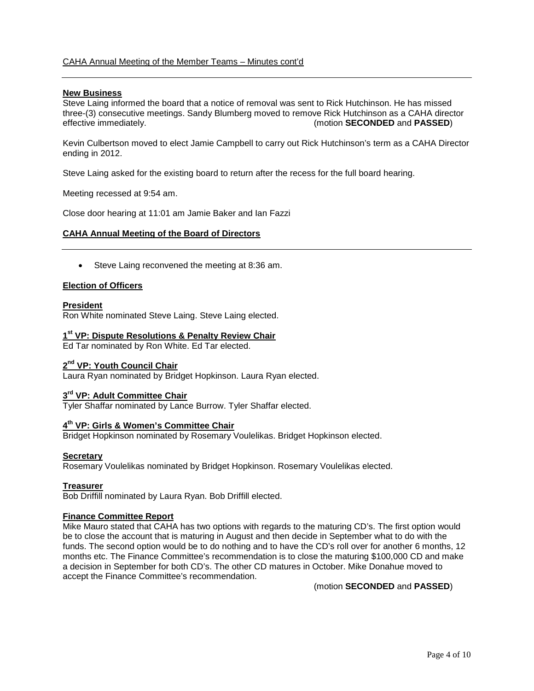# CAHA Annual Meeting of the Member Teams – Minutes cont'd

### **New Business**

Steve Laing informed the board that a notice of removal was sent to Rick Hutchinson. He has missed three-(3) consecutive meetings. Sandy Blumberg moved to remove Rick Hutchinson as a CAHA director effective immediately. (motion **SECONDED** and **PASSED**)

Kevin Culbertson moved to elect Jamie Campbell to carry out Rick Hutchinson's term as a CAHA Director ending in 2012.

Steve Laing asked for the existing board to return after the recess for the full board hearing.

Meeting recessed at 9:54 am.

Close door hearing at 11:01 am Jamie Baker and Ian Fazzi

### **CAHA Annual Meeting of the Board of Directors**

• Steve Laing reconvened the meeting at 8:36 am.

### **Election of Officers**

### **President**

Ron White nominated Steve Laing. Steve Laing elected.

### **1st VP: Dispute Resolutions & Penalty Review Chair**

Ed Tar nominated by Ron White. Ed Tar elected.

### **2nd VP: Youth Council Chair**

Laura Ryan nominated by Bridget Hopkinson. Laura Ryan elected.

### **3rd VP: Adult Committee Chair**

Tyler Shaffar nominated by Lance Burrow. Tyler Shaffar elected.

# **4th VP: Girls & Women's Committee Chair**

Bridget Hopkinson nominated by Rosemary Voulelikas. Bridget Hopkinson elected.

### **Secretary**

Rosemary Voulelikas nominated by Bridget Hopkinson. Rosemary Voulelikas elected.

### **Treasurer**

Bob Driffill nominated by Laura Ryan. Bob Driffill elected.

### **Finance Committee Report**

Mike Mauro stated that CAHA has two options with regards to the maturing CD's. The first option would be to close the account that is maturing in August and then decide in September what to do with the funds. The second option would be to do nothing and to have the CD's roll over for another 6 months, 12 months etc. The Finance Committee's recommendation is to close the maturing \$100,000 CD and make a decision in September for both CD's. The other CD matures in October. Mike Donahue moved to accept the Finance Committee's recommendation.

(motion **SECONDED** and **PASSED**)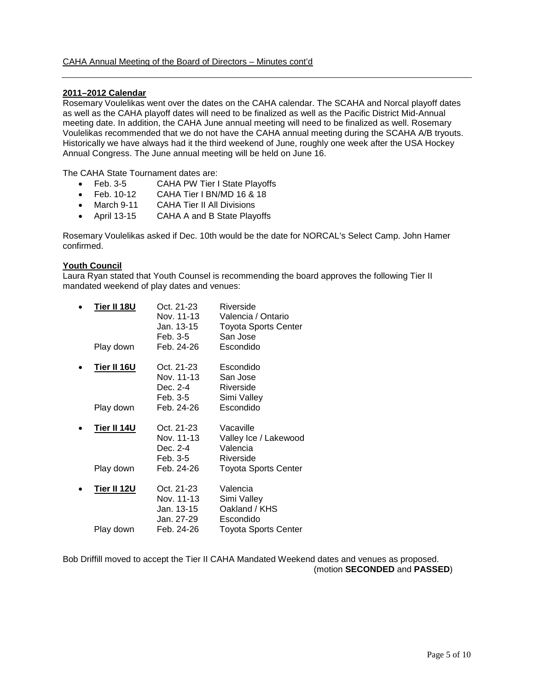### **2011–2012 Calendar**

Rosemary Voulelikas went over the dates on the CAHA calendar. The SCAHA and Norcal playoff dates as well as the CAHA playoff dates will need to be finalized as well as the Pacific District Mid-Annual meeting date. In addition, the CAHA June annual meeting will need to be finalized as well. Rosemary Voulelikas recommended that we do not have the CAHA annual meeting during the SCAHA A/B tryouts. Historically we have always had it the third weekend of June, roughly one week after the USA Hockey Annual Congress. The June annual meeting will be held on June 16.

The CAHA State Tournament dates are:

- Feb. 3-5 CAHA PW Tier I State Playoffs
- Feb. 10-12 CAHA Tier I BN/MD 16 & 18
- March 9-11 CAHA Tier II All Divisions<br>• April 13-15 CAHA A and B State Play
- CAHA A and B State Playoffs

Rosemary Voulelikas asked if Dec. 10th would be the date for NORCAL's Select Camp. John Hamer confirmed.

### **Youth Council**

Laura Ryan stated that Youth Counsel is recommending the board approves the following Tier II mandated weekend of play dates and venues:

| Tier II 18U<br>Play down | Oct. 21-23<br>Nov. 11-13<br>Jan. 13-15<br>Feb. 3-5<br>Feb. 24-26 | Riverside<br>Valencia / Ontario<br><b>Toyota Sports Center</b><br>San Jose<br>Escondido |
|--------------------------|------------------------------------------------------------------|-----------------------------------------------------------------------------------------|
|                          |                                                                  |                                                                                         |
| Tier II 16U              | Oct. 21-23<br>Nov. 11-13<br>Dec. 2-4<br>Feb. 3-5                 | Escondido<br>San Jose<br>Riverside<br>Simi Valley                                       |
| Play down                | Feb. 24-26                                                       | Escondido                                                                               |
| Tier II 14U              | Oct. 21-23<br>Nov. 11-13<br>Dec. 2-4<br>Feb. 3-5                 | Vacaville<br>Valley Ice / Lakewood<br>Valencia<br>Riverside                             |
| Play down                | Feb. 24-26                                                       | <b>Toyota Sports Center</b>                                                             |
| Tier II 12U              | Oct. 21-23<br>Nov. 11-13<br>Jan. 13-15<br>Jan. 27-29             | Valencia<br>Simi Valley<br>Oakland / KHS<br>Escondido                                   |
| Play down                | Feb. 24-26                                                       | <b>Toyota Sports Center</b>                                                             |

Bob Driffill moved to accept the Tier II CAHA Mandated Weekend dates and venues as proposed. (motion **SECONDED** and **PASSED**)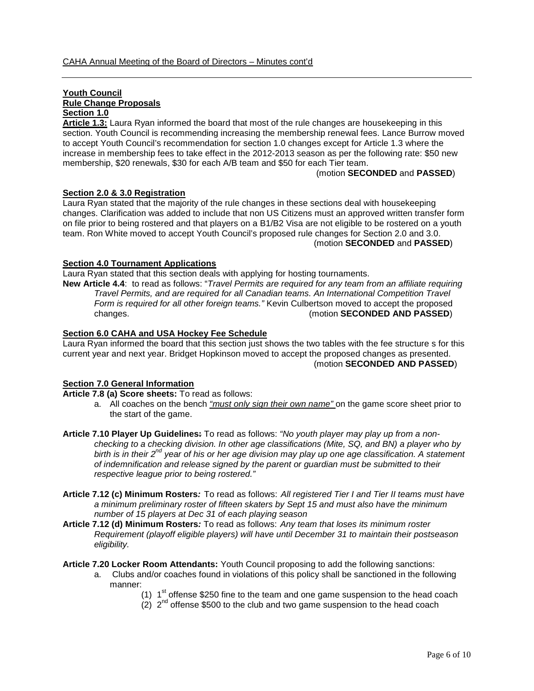# **Youth Council Rule Change Proposals Section 1.0**

**Article 1.3:** Laura Ryan informed the board that most of the rule changes are housekeeping in this section. Youth Council is recommending increasing the membership renewal fees. Lance Burrow moved to accept Youth Council's recommendation for section 1.0 changes except for Article 1.3 where the increase in membership fees to take effect in the 2012-2013 season as per the following rate: \$50 new membership, \$20 renewals, \$30 for each A/B team and \$50 for each Tier team.

(motion **SECONDED** and **PASSED**)

# **Section 2.0 & 3.0 Registration**

Laura Ryan stated that the majority of the rule changes in these sections deal with housekeeping changes. Clarification was added to include that non US Citizens must an approved written transfer form on file prior to being rostered and that players on a B1/B2 Visa are not eligible to be rostered on a youth team. Ron White moved to accept Youth Council's proposed rule changes for Section 2.0 and 3.0. (motion **SECONDED** and **PASSED**)

### **Section 4.0 Tournament Applications**

Laura Ryan stated that this section deals with applying for hosting tournaments.

**New Article 4.4**: to read as follows: "*Travel Permits are required for any team from an affiliate requiring Travel Permits, and are required for all Canadian teams. An International Competition Travel Form is required for all other foreign teams."* Kevin Culbertson moved to accept the proposed changes. (motion **SECONDED AND PASSED**)

# **Section 6.0 CAHA and USA Hockey Fee Schedule**

Laura Ryan informed the board that this section just shows the two tables with the fee structure s for this current year and next year. Bridget Hopkinson moved to accept the proposed changes as presented. (motion **SECONDED AND PASSED**)

# **Section 7.0 General Information**

**Article 7.8 (a) Score sheets:** To read as follows:

- a. All coaches on the bench *"must only sign their own name"* on the game score sheet prior to the start of the game.
- **Article 7.10 Player Up Guidelines:** To read as follows: *"No youth player may play up from a nonchecking to a checking division. In other age classifications (Mite, SQ, and BN) a player who by birth is in their 2nd year of his or her age division may play up one age classification. A statement of indemnification and release signed by the parent or guardian must be submitted to their respective league prior to being rostered."*
- **Article 7.12 (c) Minimum Rosters***:* To read as follows: *All registered Tier I and Tier II teams must have a minimum preliminary roster of fifteen skaters by Sept 15 and must also have the minimum number of 15 players at Dec 31 of each playing season*
- **Article 7.12 (d) Minimum Rosters***:* To read as follows: *Any team that loses its minimum roster Requirement (playoff eligible players) will have until December 31 to maintain their postseason eligibility.*
- **Article 7.20 Locker Room Attendants:** Youth Council proposing to add the following sanctions:
	- a. Clubs and/or coaches found in violations of this policy shall be sanctioned in the following manner:
		- (1)  $1<sup>st</sup>$  offense \$250 fine to the team and one game suspension to the head coach
		- $(2)$   $2<sup>nd</sup>$  offense \$500 to the club and two game suspension to the head coach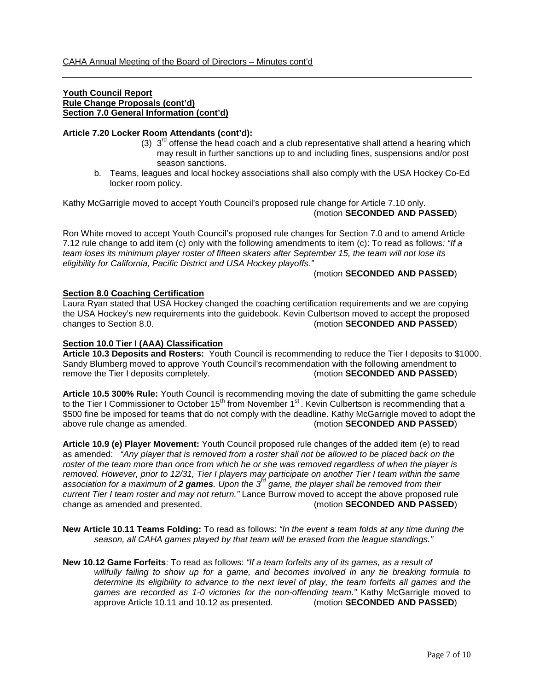### **Youth Council Report Rule Change Proposals (cont'd) Section 7.0 General Information (cont'd)**

### **Article 7.20 Locker Room Attendants (cont'd):**

- (3)  $3^{rd}$  offense the head coach and a club representative shall attend a hearing which may result in further sanctions up to and including fines, suspensions and/or post season sanctions.
- b. Teams, leagues and local hockey associations shall also comply with the USA Hockey Co-Ed locker room policy.

Kathy McGarrigle moved to accept Youth Council's proposed rule change for Article 7.10 only. (motion **SECONDED AND PASSED**)

Ron White moved to accept Youth Council's proposed rule changes for Section 7.0 and to amend Article 7.12 rule change to add item (c) only with the following amendments to item (c): To read as follows*: "If a team loses its minimum player roster of fifteen skaters after September 15, the team will not lose its eligibility for California, Pacific District and USA Hockey playoffs."*

### (motion **SECONDED AND PASSED**)

### **Section 8.0 Coaching Certification**

Laura Ryan stated that USA Hockey changed the coaching certification requirements and we are copying the USA Hockey's new requirements into the guidebook. Kevin Culbertson moved to accept the proposed changes to Section 8.0. (motion SECONDED AND PASSED)

# **Section 10.0 Tier I (AAA) Classification**

**Article 10.3 Deposits and Rosters:** Youth Council is recommending to reduce the Tier I deposits to \$1000. Sandy Blumberg moved to approve Youth Council's recommendation with the following amendment to remove the Tier I deposits completely. (motion **SECONDED AND PASSED**) remove the Tier I deposits completely.

**Article 10.5 300% Rule:** Youth Council is recommending moving the date of submitting the game schedule to the Tier I Commissioner to October  $15<sup>th</sup>$  from November  $1<sup>st</sup>$ . Kevin Culbertson is recommending that a \$500 fine be imposed for teams that do not comply with the deadline. Kathy McGarrigle moved to adopt the above rule change as amended. (motion **SECONDED AND PASSED**)

**Article 10.9 (e) Player Movement:** Youth Council proposed rule changes of the added item (e) to read as amended: *"Any player that is removed from a roster shall not be allowed to be placed back on the roster of the team more than once from which he or she was removed regardless of when the player is removed. However, prior to 12/31, Tier I players may participate on another Tier I team within the same association for a maximum of 2 games. Upon the 3rd game, the player shall be removed from their current Tier I team roster and may not return.*" Lance Burrow moved to accept the above proposed rule change as amended and presented. (motion **SECONDED AND PASSED**) (motion **SECONDED AND PASSED**)

- **New Article 10.11 Teams Folding:** To read as follows: *"In the event a team folds at any time during the season, all CAHA games played by that team will be erased from the league standings."*
- **New 10.12 Game Forfeits**: To read as follows: *"If a team forfeits any of its games, as a result of willfully failing to show up for a game, and becomes involved in any tie breaking formula to determine its eligibility to advance to the next level of play, the team forfeits all games and the games are recorded as 1-0 victories for the non-offending team."* Kathy McGarrigle moved to approve Article 10.11 and 10.12 as presented. (motion **SECONDED AND PASSED**) approve Article 10.11 and 10.12 as presented.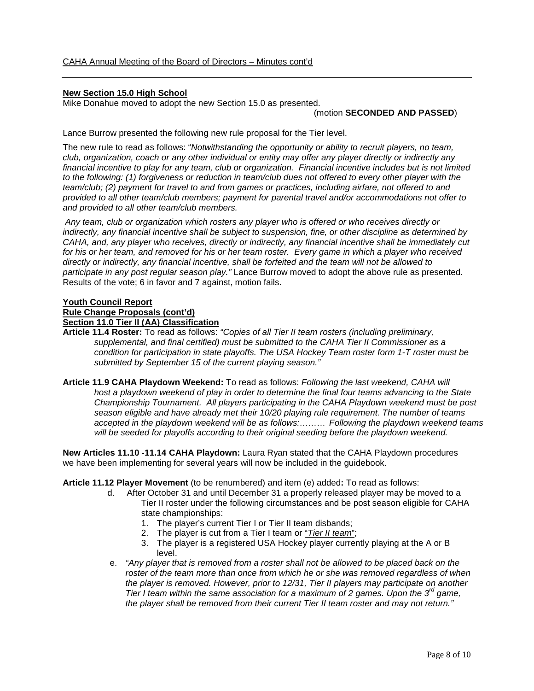# **New Section 15.0 High School**

Mike Donahue moved to adopt the new Section 15.0 as presented.

### (motion **SECONDED AND PASSED**)

Lance Burrow presented the following new rule proposal for the Tier level.

The new rule to read as follows: "*Notwithstanding the opportunity or ability to recruit players, no team, club, organization, coach or any other individual or entity may offer any player directly or indirectly any financial incentive to play for any team, club or organization. Financial incentive includes but is not limited to the following: (1) forgiveness or reduction in team/club dues not offered to every other player with the team/club; (2) payment for travel to and from games or practices, including airfare, not offered to and provided to all other team/club members; payment for parental travel and/or accommodations not offer to and provided to all other team/club members.*

*Any team, club or organization which rosters any player who is offered or who receives directly or indirectly, any financial incentive shall be subject to suspension, fine, or other discipline as determined by CAHA, and, any player who receives, directly or indirectly, any financial incentive shall be immediately cut for his or her team, and removed for his or her team roster. Every game in which a player who received directly or indirectly, any financial incentive, shall be forfeited and the team will not be allowed to participate in any post regular season play."* Lance Burrow moved to adopt the above rule as presented. Results of the vote; 6 in favor and 7 against, motion fails.

### **Youth Council Report Rule Change Proposals (cont'd)**

**Section 11.0 Tier II (AA) Classification**

- **Article 11.4 Roster:** To read as follows: *"Copies of all Tier II team rosters (including preliminary, supplemental, and final certified) must be submitted to the CAHA Tier II Commissioner as a condition for participation in state playoffs. The USA Hockey Team roster form 1-T roster must be submitted by September 15 of the current playing season."*
- **Article 11.9 CAHA Playdown Weekend:** To read as follows: *Following the last weekend, CAHA will host a playdown weekend of play in order to determine the final four teams advancing to the State Championship Tournament. All players participating in the CAHA Playdown weekend must be post season eligible and have already met their 10/20 playing rule requirement. The number of teams accepted in the playdown weekend will be as follows:……… Following the playdown weekend teams will be seeded for playoffs according to their original seeding before the playdown weekend.*

**New Articles 11.10 -11.14 CAHA Playdown:** Laura Ryan stated that the CAHA Playdown procedures we have been implementing for several years will now be included in the guidebook.

**Article 11.12 Player Movement** (to be renumbered) and item (e) added**:** To read as follows:

- d. After October 31 and until December 31 a properly released player may be moved to a Tier II roster under the following circumstances and be post season eligible for CAHA state championships:
	- 1. The player's current Tier I or Tier II team disbands;
	- 2. The player is cut from a Tier I team or "*Tier II team*";
	- 3. The player is a registered USA Hockey player currently playing at the A or B level.
- e. *"Any player that is removed from a roster shall not be allowed to be placed back on the roster of the team more than once from which he or she was removed regardless of when the player is removed. However, prior to 12/31, Tier II players may participate on another Tier I team within the same association for a maximum of 2 games. Upon the 3rd game, the player shall be removed from their current Tier II team roster and may not return."*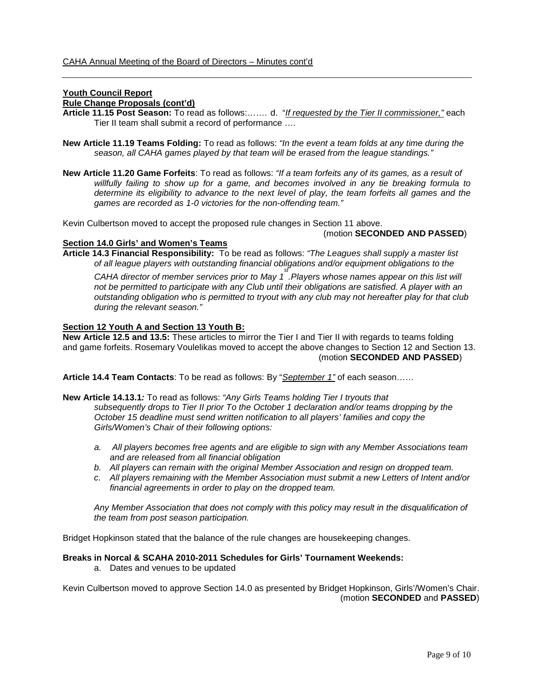# **Youth Council Report**

# **Rule Change Proposals (cont'd)**

- **Article 11.15 Post Season:** To read as follows:……. d. "*If requested by the Tier II commissioner,"* each Tier II team shall submit a record of performance ….
- **New Article 11.19 Teams Folding:** To read as follows: *"In the event a team folds at any time during the season, all CAHA games played by that team will be erased from the league standings."*
- **New Article 11.20 Game Forfeits**: To read as follows: *"If a team forfeits any of its games, as a result of willfully failing to show up for a game, and becomes involved in any tie breaking formula to determine its eligibility to advance to the next level of play, the team forfeits all games and the games are recorded as 1-0 victories for the non-offending team."*

Kevin Culbertson moved to accept the proposed rule changes in Section 11 above.

### (motion **SECONDED AND PASSED**)

### **Section 14.0 Girls' and Women's Teams**

**Article 14.3 Financial Responsibility:** To be read as follows: *"The Leagues shall supply a master list of all league players with outstanding financial obligations and/or equipment obligations to the*

*CAHA director of member services prior to May 1st .Players whose names appear on this list will not be permitted to participate with any Club until their obligations are satisfied. A player with an outstanding obligation who is permitted to tryout with any club may not hereafter play for that club during the relevant season."*

### **Section 12 Youth A and Section 13 Youth B:**

**New Article 12.5 and 13.5:** These articles to mirror the Tier I and Tier II with regards to teams folding and game forfeits. Rosemary Voulelikas moved to accept the above changes to Section 12 and Section 13. (motion **SECONDED AND PASSED**)

**Article 14.4 Team Contacts**: To be read as follows: By "*September 1"* of each season……

- **New Article 14.13.1***:* To read as follows: *"Any Girls Teams holding Tier I tryouts that subsequently drops to Tier II prior To the October 1 declaration and/or teams dropping by the October 15 deadline must send written notification to all players' families and copy the Girls/Women's Chair of their following options:*
	- *a. All players becomes free agents and are eligible to sign with any Member Associations team and are released from all financial obligation*
	- *b. All players can remain with the original Member Association and resign on dropped team.*
	- *c. All players remaining with the Member Association must submit a new Letters of Intent and/or financial agreements in order to play on the dropped team.*

*Any Member Association that does not comply with this policy may result in the disqualification of the team from post season participation.*

Bridget Hopkinson stated that the balance of the rule changes are housekeeping changes.

### **Breaks in Norcal & SCAHA 2010-2011 Schedules for Girls' Tournament Weekends:**

a. Dates and venues to be updated

Kevin Culbertson moved to approve Section 14.0 as presented by Bridget Hopkinson, Girls'/Women's Chair. (motion **SECONDED** and **PASSED**)